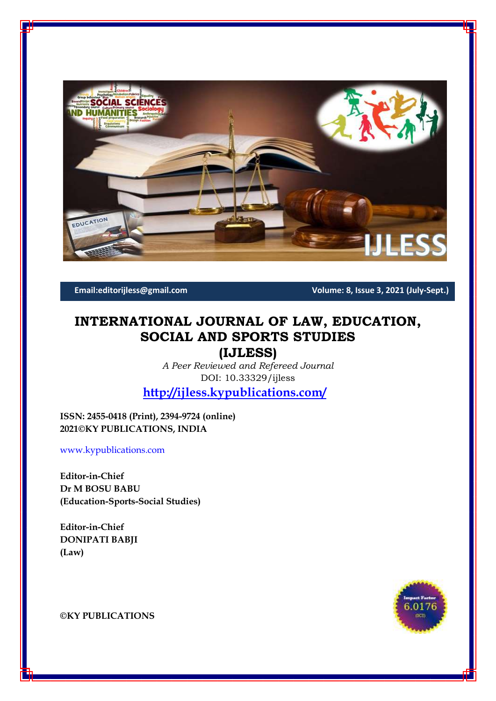

**Email:editorijless@gmail.com Volume: 8, Issue 3, 2021 (July-Sept.)**

# **INTERNATIONAL JOURNAL OF LAW, EDUCATION, SOCIAL AND SPORTS STUDIES**

**(IJLESS)**

*A Peer Reviewed and Refereed Journal* DOI: 10.33329/ijless

**<http://ijless.kypublications.com/>**

**ISSN: 2455-0418 (Print), 2394-9724 (online) 2021©KY PUBLICATIONS, INDIA**

[www.kypublications.com](http://www.kypublications.com/)

**Editor-in-Chief Dr M BOSU BABU (Education-Sports-Social Studies)**

**Editor-in-Chief DONIPATI BABJI (Law)**



**©KY PUBLICATIONS**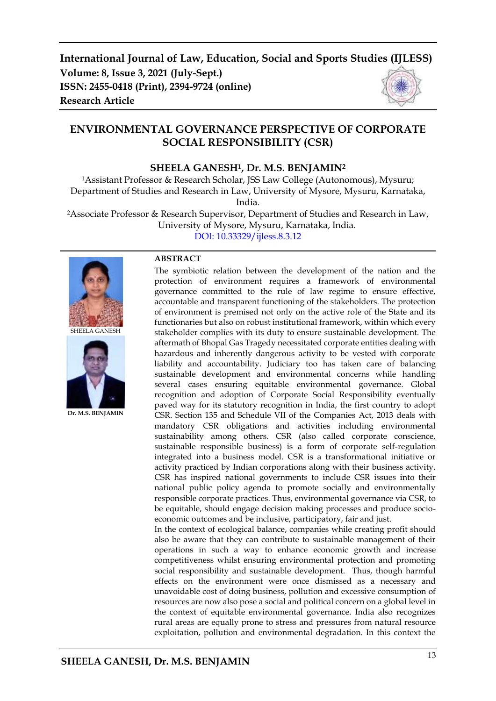# **ENVIRONMENTAL GOVERNANCE PERSPECTIVE OF CORPORATE SOCIAL RESPONSIBILITY (CSR)**

# **SHEELA GANESH1, Dr. M.S. BENJAMIN<sup>2</sup>**

<sup>1</sup>Assistant Professor & Research Scholar, JSS Law College (Autonomous), Mysuru; Department of Studies and Research in Law, University of Mysore, Mysuru, Karnataka, India.

<sup>2</sup>Associate Professor & Research Supervisor, Department of Studies and Research in Law, University of Mysore, Mysuru, Karnataka, India.

[DOI: 10.33329/ijless.8.3.1](http://ijless.kypublications.com/)2



SHEELA GANESH



**Dr. M.S. BENJAMIN**

#### **ABSTRACT**

The symbiotic relation between the development of the nation and the protection of environment requires a framework of environmental governance committed to the rule of law regime to ensure effective, accountable and transparent functioning of the stakeholders. The protection of environment is premised not only on the active role of the State and its functionaries but also on robust institutional framework, within which every stakeholder complies with its duty to ensure sustainable development. The aftermath of Bhopal Gas Tragedy necessitated corporate entities dealing with hazardous and inherently dangerous activity to be vested with corporate liability and accountability. Judiciary too has taken care of balancing sustainable development and environmental concerns while handling several cases ensuring equitable environmental governance. Global recognition and adoption of Corporate Social Responsibility eventually paved way for its statutory recognition in India, the first country to adopt CSR. Section 135 and Schedule VII of the Companies Act, 2013 deals with mandatory CSR obligations and activities including environmental sustainability among others. CSR (also called corporate conscience, sustainable responsible business) is a form of corporate self-regulation integrated into a business model. CSR is a transformational initiative or activity practiced by Indian corporations along with their business activity. CSR has inspired national governments to include CSR issues into their national public policy agenda to promote socially and environmentally responsible corporate practices. Thus, environmental governance via CSR, to be equitable, should engage decision making processes and produce socioeconomic outcomes and be inclusive, participatory, fair and just.

In the context of ecological balance, companies while creating profit should also be aware that they can contribute to sustainable management of their operations in such a way to enhance economic growth and increase competitiveness whilst ensuring environmental protection and promoting social responsibility and sustainable development. Thus, though harmful effects on the environment were once dismissed as a necessary and unavoidable cost of doing business, pollution and excessive consumption of resources are now also pose a social and political concern on a global level in the context of equitable environmental governance. India also recognizes rural areas are equally prone to stress and pressures from natural resource exploitation, pollution and environmental degradation. In this context the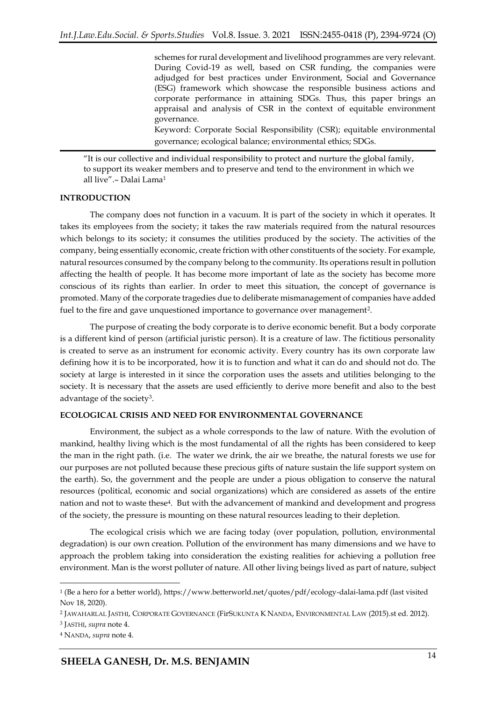schemes for rural development and livelihood programmes are very relevant. During Covid-19 as well, based on CSR funding, the companies were adjudged for best practices under Environment, Social and Governance (ESG) framework which showcase the responsible business actions and corporate performance in attaining SDGs. Thus, this paper brings an appraisal and analysis of CSR in the context of equitable environment governance.

Keyword: Corporate Social Responsibility (CSR); equitable environmental governance; ecological balance; environmental ethics; SDGs.

"It is our collective and individual responsibility to protect and nurture the global family, to support its weaker members and to preserve and tend to the environment in which we all live".– Dalai Lama<sup>1</sup>

#### **INTRODUCTION**

The company does not function in a vacuum. It is part of the society in which it operates. It takes its employees from the society; it takes the raw materials required from the natural resources which belongs to its society; it consumes the utilities produced by the society. The activities of the company, being essentially economic, create friction with other constituents of the society. For example, natural resources consumed by the company belong to the community. Its operations result in pollution affecting the health of people. It has become more important of late as the society has become more conscious of its rights than earlier. In order to meet this situation, the concept of governance is promoted. Many of the corporate tragedies due to deliberate mismanagement of companies have added fuel to the fire and gave unquestioned importance to governance over management<sup>2</sup>.

The purpose of creating the body corporate is to derive economic benefit. But a body corporate is a different kind of person (artificial juristic person). It is a creature of law. The fictitious personality is created to serve as an instrument for economic activity. Every country has its own corporate law defining how it is to be incorporated, how it is to function and what it can do and should not do. The society at large is interested in it since the corporation uses the assets and utilities belonging to the society. It is necessary that the assets are used efficiently to derive more benefit and also to the best advantage of the society<sup>3</sup>.

#### **ECOLOGICAL CRISIS AND NEED FOR ENVIRONMENTAL GOVERNANCE**

Environment, the subject as a whole corresponds to the law of nature. With the evolution of mankind, healthy living which is the most fundamental of all the rights has been considered to keep the man in the right path. (i.e. The water we drink, the air we breathe, the natural forests we use for our purposes are not polluted because these precious gifts of nature sustain the life support system on the earth). So, the government and the people are under a pious obligation to conserve the natural resources (political, economic and social organizations) which are considered as assets of the entire nation and not to waste these<sup>4</sup> . But with the advancement of mankind and development and progress of the society, the pressure is mounting on these natural resources leading to their depletion.

The ecological crisis which we are facing today (over population, pollution, environmental degradation) is our own creation. Pollution of the environment has many dimensions and we have to approach the problem taking into consideration the existing realities for achieving a pollution free environment. Man is the worst polluter of nature. All other living beings lived as part of nature, subject

<sup>1</sup> (Be a hero for a better world), https://www.betterworld.net/quotes/pdf/ecology-dalai-lama.pdf (last visited Nov 18, 2020).

<sup>2</sup> JAWAHARLAL JASTHI, CORPORATE GOVERNANCE (FirSUKUNTA K NANDA, ENVIRONMENTAL LAW (2015).st ed. 2012).

<sup>3</sup> JASTHI, *supra* note 4.

<sup>4</sup> NANDA, *supra* note 4.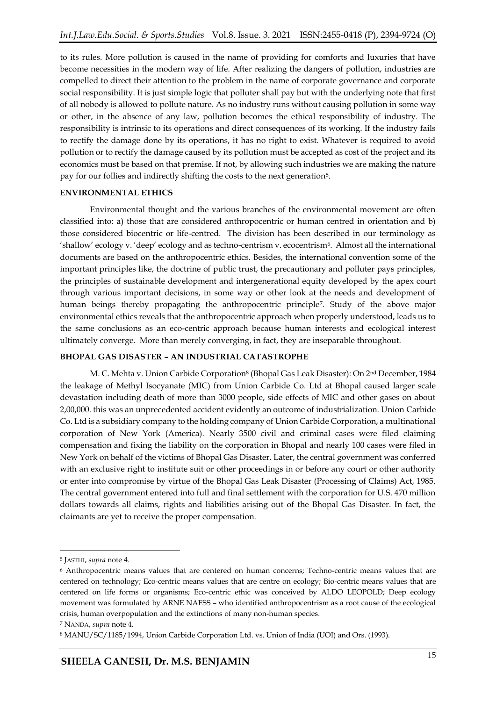to its rules. More pollution is caused in the name of providing for comforts and luxuries that have become necessities in the modern way of life. After realizing the dangers of pollution, industries are compelled to direct their attention to the problem in the name of corporate governance and corporate social responsibility. It is just simple logic that polluter shall pay but with the underlying note that first of all nobody is allowed to pollute nature. As no industry runs without causing pollution in some way or other, in the absence of any law, pollution becomes the ethical responsibility of industry. The responsibility is intrinsic to its operations and direct consequences of its working. If the industry fails to rectify the damage done by its operations, it has no right to exist. Whatever is required to avoid pollution or to rectify the damage caused by its pollution must be accepted as cost of the project and its economics must be based on that premise. If not, by allowing such industries we are making the nature pay for our follies and indirectly shifting the costs to the next generation<sup>5</sup>.

#### **ENVIRONMENTAL ETHICS**

Environmental thought and the various branches of the environmental movement are often classified into: a) those that are considered anthropocentric or human centred in orientation and b) those considered biocentric or life-centred. The division has been described in our terminology as 'shallow' ecology v. 'deep' ecology and as techno-centrism v. ecocentrism<sup>6</sup>. Almost all the international documents are based on the anthropocentric ethics. Besides, the international convention some of the important principles like, the doctrine of public trust, the precautionary and polluter pays principles, the principles of sustainable development and intergenerational equity developed by the apex court through various important decisions, in some way or other look at the needs and development of human beings thereby propagating the anthropocentric principle<sup>7</sup> . Study of the above major environmental ethics reveals that the anthropocentric approach when properly understood, leads us to the same conclusions as an eco-centric approach because human interests and ecological interest ultimately converge. More than merely converging, in fact, they are inseparable throughout.

#### **BHOPAL GAS DISASTER – AN INDUSTRIAL CATASTROPHE**

M. C. Mehta v. Union Carbide Corporation<sup>8</sup> (Bhopal Gas Leak Disaster): On 2nd December, 1984 the leakage of Methyl Isocyanate (MIC) from Union Carbide Co. Ltd at Bhopal caused larger scale devastation including death of more than 3000 people, side effects of MIC and other gases on about 2,00,000. this was an unprecedented accident evidently an outcome of industrialization. Union Carbide Co. Ltd is a subsidiary company to the holding company of Union Carbide Corporation, a multinational corporation of New York (America). Nearly 3500 civil and criminal cases were filed claiming compensation and fixing the liability on the corporation in Bhopal and nearly 100 cases were filed in New York on behalf of the victims of Bhopal Gas Disaster. Later, the central government was conferred with an exclusive right to institute suit or other proceedings in or before any court or other authority or enter into compromise by virtue of the Bhopal Gas Leak Disaster (Processing of Claims) Act, 1985. The central government entered into full and final settlement with the corporation for U.S. 470 million dollars towards all claims, rights and liabilities arising out of the Bhopal Gas Disaster. In fact, the claimants are yet to receive the proper compensation.

<sup>5</sup> JASTHI, *supra* note 4.

<sup>6</sup> Anthropocentric means values that are centered on human concerns; Techno-centric means values that are centered on technology; Eco-centric means values that are centre on ecology; Bio-centric means values that are centered on life forms or organisms; Eco-centric ethic was conceived by ALDO LEOPOLD; Deep ecology movement was formulated by ARNE NAESS – who identified anthropocentrism as a root cause of the ecological crisis, human overpopulation and the extinctions of many non-human species.

<sup>7</sup> NANDA, *supra* note 4.

<sup>8</sup> MANU/SC/1185/1994, Union Carbide Corporation Ltd. vs. Union of India (UOI) and Ors. (1993).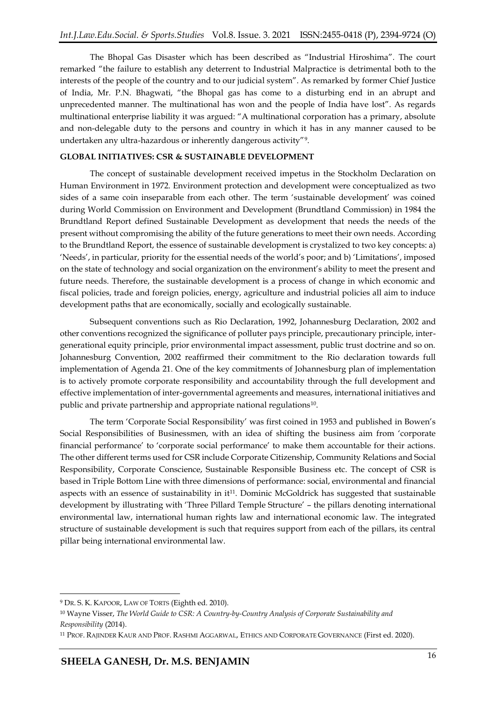The Bhopal Gas Disaster which has been described as "Industrial Hiroshima". The court remarked "the failure to establish any deterrent to Industrial Malpractice is detrimental both to the interests of the people of the country and to our judicial system". As remarked by former Chief Justice of India, Mr. P.N. Bhagwati, "the Bhopal gas has come to a disturbing end in an abrupt and unprecedented manner. The multinational has won and the people of India have lost". As regards multinational enterprise liability it was argued: "A multinational corporation has a primary, absolute and non-delegable duty to the persons and country in which it has in any manner caused to be undertaken any ultra-hazardous or inherently dangerous activity"<sup>9</sup> .

### **GLOBAL INITIATIVES: CSR & SUSTAINABLE DEVELOPMENT**

The concept of sustainable development received impetus in the Stockholm Declaration on Human Environment in 1972. Environment protection and development were conceptualized as two sides of a same coin inseparable from each other. The term 'sustainable development' was coined during World Commission on Environment and Development (Brundtland Commission) in 1984 the Brundtland Report defined Sustainable Development as development that needs the needs of the present without compromising the ability of the future generations to meet their own needs. According to the Brundtland Report, the essence of sustainable development is crystalized to two key concepts: a) 'Needs', in particular, priority for the essential needs of the world's poor; and b) 'Limitations', imposed on the state of technology and social organization on the environment's ability to meet the present and future needs. Therefore, the sustainable development is a process of change in which economic and fiscal policies, trade and foreign policies, energy, agriculture and industrial policies all aim to induce development paths that are economically, socially and ecologically sustainable.

Subsequent conventions such as Rio Declaration, 1992, Johannesburg Declaration, 2002 and other conventions recognized the significance of polluter pays principle, precautionary principle, intergenerational equity principle, prior environmental impact assessment, public trust doctrine and so on. Johannesburg Convention, 2002 reaffirmed their commitment to the Rio declaration towards full implementation of Agenda 21. One of the key commitments of Johannesburg plan of implementation is to actively promote corporate responsibility and accountability through the full development and effective implementation of inter-governmental agreements and measures, international initiatives and public and private partnership and appropriate national regulations<sup>10</sup> .

The term 'Corporate Social Responsibility' was first coined in 1953 and published in Bowen's Social Responsibilities of Businessmen, with an idea of shifting the business aim from 'corporate financial performance' to 'corporate social performance' to make them accountable for their actions. The other different terms used for CSR include Corporate Citizenship, Community Relations and Social Responsibility, Corporate Conscience, Sustainable Responsible Business etc. The concept of CSR is based in Triple Bottom Line with three dimensions of performance: social, environmental and financial aspects with an essence of sustainability in  $it<sup>11</sup>$ . Dominic McGoldrick has suggested that sustainable development by illustrating with 'Three Pillard Temple Structure' – the pillars denoting international environmental law, international human rights law and international economic law. The integrated structure of sustainable development is such that requires support from each of the pillars, its central pillar being international environmental law.

**<sup>.</sup>** <sup>9</sup> DR. S. K. KAPOOR, LAW OF TORTS (Eighth ed. 2010).

<sup>10</sup> Wayne Visser, *The World Guide to CSR: A Country-by-Country Analysis of Corporate Sustainability and Responsibility* (2014).

<sup>11</sup> PROF. RAJINDER KAUR AND PROF. RASHMI AGGARWAL, ETHICS AND CORPORATE GOVERNANCE (First ed. 2020).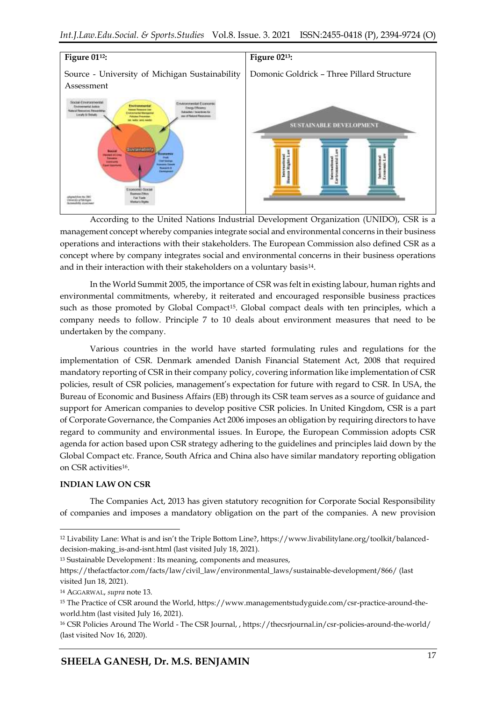

According to the United Nations Industrial Development Organization (UNIDO), CSR is a management concept whereby companies integrate social and environmental concerns in their business operations and interactions with their stakeholders. The European Commission also defined CSR as a concept where by company integrates social and environmental concerns in their business operations and in their interaction with their stakeholders on a voluntary basis<sup>14</sup>.

In the World Summit 2005, the importance of CSR was felt in existing labour, human rights and environmental commitments, whereby, it reiterated and encouraged responsible business practices such as those promoted by Global Compact<sup>15</sup>. Global compact deals with ten principles, which a company needs to follow. Principle 7 to 10 deals about environment measures that need to be undertaken by the company.

Various countries in the world have started formulating rules and regulations for the implementation of CSR. Denmark amended Danish Financial Statement Act, 2008 that required mandatory reporting of CSR in their company policy, covering information like implementation of CSR policies, result of CSR policies, management's expectation for future with regard to CSR. In USA, the Bureau of Economic and Business Affairs (EB) through its CSR team serves as a source of guidance and support for American companies to develop positive CSR policies. In United Kingdom, CSR is a part of Corporate Governance, the Companies Act 2006 imposes an obligation by requiring directors to have regard to community and environmental issues. In Europe, the European Commission adopts CSR agenda for action based upon CSR strategy adhering to the guidelines and principles laid down by the Global Compact etc. France, South Africa and China also have similar mandatory reporting obligation on CSR activities<sup>16</sup> .

#### **INDIAN LAW ON CSR**

1

The Companies Act, 2013 has given statutory recognition for Corporate Social Responsibility of companies and imposes a mandatory obligation on the part of the companies. A new provision

<sup>12</sup> Livability Lane: What is and isn't the Triple Bottom Line?, https://www.livabilitylane.org/toolkit/balanceddecision-making\_is-and-isnt.html (last visited July 18, 2021).

<sup>13</sup> Sustainable Development : Its meaning, components and measures,

https://thefactfactor.com/facts/law/civil\_law/environmental\_laws/sustainable-development/866/ (last visited Jun 18, 2021).

<sup>14</sup> AGGARWAL, *supra* note 13.

<sup>15</sup> The Practice of CSR around the World, https://www.managementstudyguide.com/csr-practice-around-theworld.htm (last visited July 16, 2021).

<sup>16</sup> CSR Policies Around The World - The CSR Journal, , https://thecsrjournal.in/csr-policies-around-the-world/ (last visited Nov 16, 2020).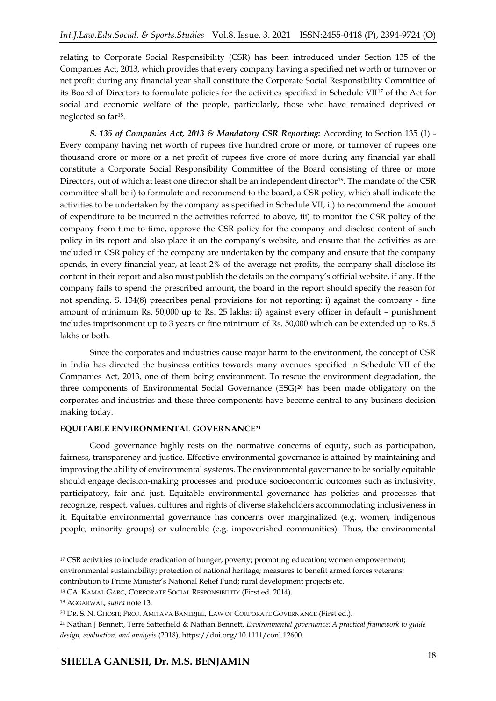relating to Corporate Social Responsibility (CSR) has been introduced under Section 135 of the Companies Act, 2013, which provides that every company having a specified net worth or turnover or net profit during any financial year shall constitute the Corporate Social Responsibility Committee of its Board of Directors to formulate policies for the activities specified in Schedule VII<sup>17</sup> of the Act for social and economic welfare of the people, particularly, those who have remained deprived or neglected so far<sup>18</sup> .

*S. 135 of Companies Act, 2013 & Mandatory CSR Reporting:* According to Section 135 (1) - Every company having net worth of rupees five hundred crore or more, or turnover of rupees one thousand crore or more or a net profit of rupees five crore of more during any financial yar shall constitute a Corporate Social Responsibility Committee of the Board consisting of three or more Directors, out of which at least one director shall be an independent director<sup>19</sup>. The mandate of the CSR committee shall be i) to formulate and recommend to the board, a CSR policy, which shall indicate the activities to be undertaken by the company as specified in Schedule VII, ii) to recommend the amount of expenditure to be incurred n the activities referred to above, iii) to monitor the CSR policy of the company from time to time, approve the CSR policy for the company and disclose content of such policy in its report and also place it on the company's website, and ensure that the activities as are included in CSR policy of the company are undertaken by the company and ensure that the company spends, in every financial year, at least 2% of the average net profits, the company shall disclose its content in their report and also must publish the details on the company's official website, if any. If the company fails to spend the prescribed amount, the board in the report should specify the reason for not spending. S. 134(8) prescribes penal provisions for not reporting: i) against the company - fine amount of minimum Rs. 50,000 up to Rs. 25 lakhs; ii) against every officer in default – punishment includes imprisonment up to 3 years or fine minimum of Rs. 50,000 which can be extended up to Rs. 5 lakhs or both.

Since the corporates and industries cause major harm to the environment, the concept of CSR in India has directed the business entities towards many avenues specified in Schedule VII of the Companies Act, 2013, one of them being environment. To rescue the environment degradation, the three components of Environmental Social Governance (ESG)<sup>20</sup> has been made obligatory on the corporates and industries and these three components have become central to any business decision making today.

# **EQUITABLE ENVIRONMENTAL GOVERNANCE<sup>21</sup>**

Good governance highly rests on the normative concerns of equity, such as participation, fairness, transparency and justice. Effective environmental governance is attained by maintaining and improving the ability of environmental systems. The environmental governance to be socially equitable should engage decision-making processes and produce socioeconomic outcomes such as inclusivity, participatory, fair and just. Equitable environmental governance has policies and processes that recognize, respect, values, cultures and rights of diverse stakeholders accommodating inclusiveness in it. Equitable environmental governance has concerns over marginalized (e.g. women, indigenous people, minority groups) or vulnerable (e.g. impoverished communities). Thus, the environmental

<sup>&</sup>lt;sup>17</sup> CSR activities to include eradication of hunger, poverty; promoting education; women empowerment; environmental sustainability; protection of national heritage; measures to benefit armed forces veterans; contribution to Prime Minister's National Relief Fund; rural development projects etc.

<sup>18</sup> CA. KAMAL GARG, CORPORATE SOCIAL RESPONSIBILITY (First ed. 2014).

<sup>19</sup> AGGARWAL, *supra* note 13.

<sup>20</sup> DR. S. N. GHOSH; PROF. AMITAVA BANERJEE, LAW OF CORPORATE GOVERNANCE (First ed.).

<sup>21</sup> Nathan J Bennett, Terre Satterfield & Nathan Bennett, *Environmental governance: A practical framework to guide design, evaluation, and analysis* (2018), https://doi.org/10.1111/conl.12600.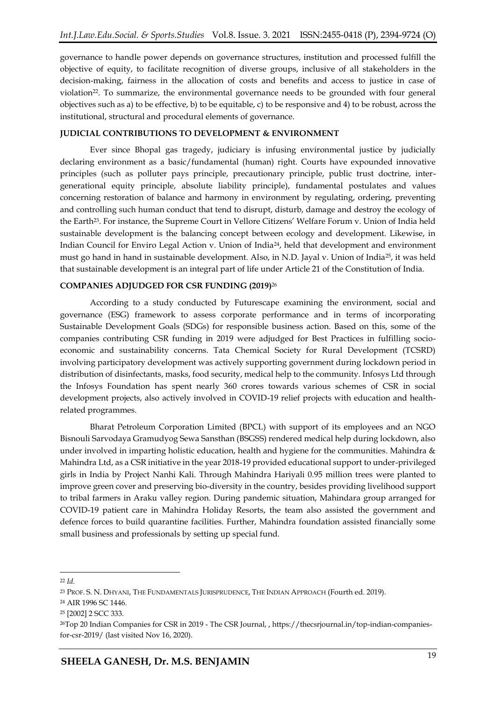governance to handle power depends on governance structures, institution and processed fulfill the objective of equity, to facilitate recognition of diverse groups, inclusive of all stakeholders in the decision-making, fairness in the allocation of costs and benefits and access to justice in case of violation<sup>22</sup>. To summarize, the environmental governance needs to be grounded with four general objectives such as a) to be effective, b) to be equitable, c) to be responsive and 4) to be robust, across the institutional, structural and procedural elements of governance.

# **JUDICIAL CONTRIBUTIONS TO DEVELOPMENT & ENVIRONMENT**

Ever since Bhopal gas tragedy, judiciary is infusing environmental justice by judicially declaring environment as a basic/fundamental (human) right. Courts have expounded innovative principles (such as polluter pays principle, precautionary principle, public trust doctrine, intergenerational equity principle, absolute liability principle), fundamental postulates and values concerning restoration of balance and harmony in environment by regulating, ordering, preventing and controlling such human conduct that tend to disrupt, disturb, damage and destroy the ecology of the Earth<sup>23</sup>. For instance, the Supreme Court in Vellore Citizens' Welfare Forum v. Union of India held sustainable development is the balancing concept between ecology and development. Likewise, in Indian Council for Enviro Legal Action v. Union of India24, held that development and environment must go hand in hand in sustainable development. Also, in N.D. Jayal v. Union of India25, it was held that sustainable development is an integral part of life under Article 21 of the Constitution of India.

# **COMPANIES ADJUDGED FOR CSR FUNDING (2019)** 26

According to a study conducted by Futurescape examining the environment, social and governance (ESG) framework to assess corporate performance and in terms of incorporating Sustainable Development Goals (SDGs) for responsible business action. Based on this, some of the companies contributing CSR funding in 2019 were adjudged for Best Practices in fulfilling socioeconomic and sustainability concerns. Tata Chemical Society for Rural Development (TCSRD) involving participatory development was actively supporting government during lockdown period in distribution of disinfectants, masks, food security, medical help to the community. Infosys Ltd through the Infosys Foundation has spent nearly 360 crores towards various schemes of CSR in social development projects, also actively involved in COVID-19 relief projects with education and healthrelated programmes.

Bharat Petroleum Corporation Limited (BPCL) with support of its employees and an NGO Bisnouli Sarvodaya Gramudyog Sewa Sansthan (BSGSS) rendered medical help during lockdown, also under involved in imparting holistic education, health and hygiene for the communities. Mahindra & Mahindra Ltd, as a CSR initiative in the year 2018-19 provided educational support to under-privileged girls in India by Project Nanhi Kali. Through Mahindra Hariyali 0.95 million trees were planted to improve green cover and preserving bio-diversity in the country, besides providing livelihood support to tribal farmers in Araku valley region. During pandemic situation, Mahindara group arranged for COVID-19 patient care in Mahindra Holiday Resorts, the team also assisted the government and defence forces to build quarantine facilities. Further, Mahindra foundation assisted financially some small business and professionals by setting up special fund.

 $\overline{a}$ 

<sup>22</sup> *Id.*

<sup>23</sup> PROF. S. N. DHYANI, THE FUNDAMENTALS JURISPRUDENCE, THE INDIAN APPROACH (Fourth ed. 2019).

<sup>24</sup> AIR 1996 SC 1446.

<sup>25</sup> [2002] 2 SCC 333.

<sup>26</sup>Top 20 Indian Companies for CSR in 2019 - The CSR Journal, , https://thecsrjournal.in/top-indian-companiesfor-csr-2019/ (last visited Nov 16, 2020).